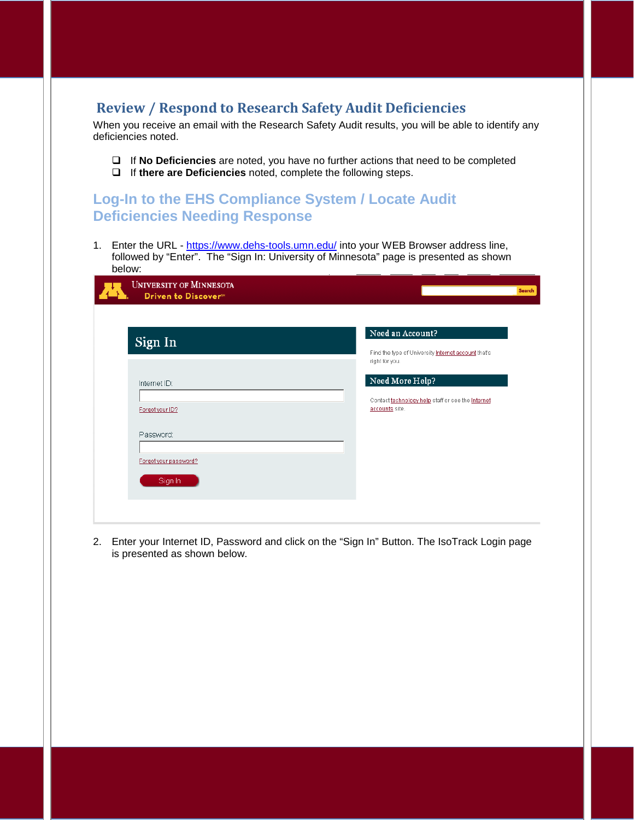## **Review / Respond to Research Safety Audit Deficiencies**

When you receive an email with the Research Safety Audit results, you will be able to identify any deficiencies noted.

- If **No Deficiencies** are noted, you have no further actions that need to be completed
- If **there are Deficiencies** noted, complete the following steps.

## **Log-In to the EHS Compliance System / Locate Audit Deficiencies Needing Response**

1. Enter the URL - <https://www.dehs-tools.umn.edu/> into your WEB Browser address line, followed by "Enter". The "Sign In: University of Minnesota" page is presented as shown below:

| <b>UNIVERSITY OF MINNESOTA</b><br>Driven to Discover <sup>®</sup> | Search                                                                                    |
|-------------------------------------------------------------------|-------------------------------------------------------------------------------------------|
| Sign In                                                           | Need an Account?<br>Find the type of University Internet account that's<br>right for you. |
| Internet ID:<br>Forgot your ID?                                   | Need More Help?<br>Contact technology help staff or see the Internet<br>accounts site.    |
| Password:<br>Forgot your password?                                |                                                                                           |
| Sign In                                                           |                                                                                           |

2. Enter your Internet ID, Password and click on the "Sign In" Button. The IsoTrack Login page is presented as shown below.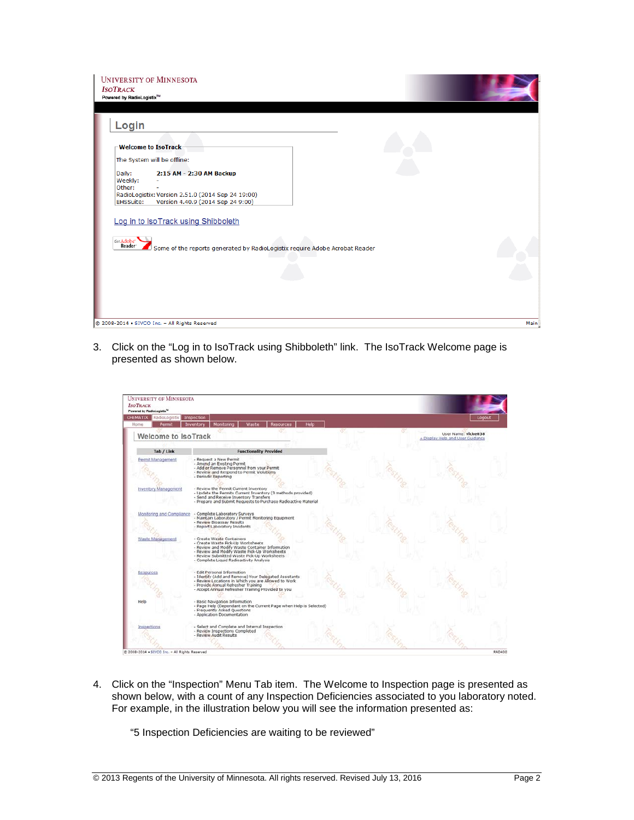| <b>UNIVERSITY OF MINNESOTA</b><br><b>ISOTRACK</b><br>Powered by RadioLogistix™                                                                                                                                                        |      |
|---------------------------------------------------------------------------------------------------------------------------------------------------------------------------------------------------------------------------------------|------|
| Login<br><b>Nelcome to IsoTrack-</b><br>The System will be offline:<br>Daily:<br>2:15 AM - 2:30 AM Backup<br>Weekly:<br>Other:<br>RadioLogistix: Version 2.51.0 (2014 Sep 24 19:00)<br>EHSSuite:<br>Version 4.40.9 (2014 Sep 24 9:00) |      |
| Log in to IsoTrack using Shibboleth<br>Get Adobe'<br>Reader<br>Some of the reports generated by RadioLogistix require Adobe Acrobat Reader                                                                                            |      |
| @ 2008-2014 . SIVCO Inc. - All Rights Reserved                                                                                                                                                                                        | Main |

3. Click on the "Log in to IsoTrack using Shibboleth" link. The IsoTrack Welcome page is presented as shown below.

| RadioLogistix Inspection<br>CHEMATIX<br>Permit<br>Home | Monitoring<br>Waste<br><b>Resources</b><br>Help<br>Inventory                                                                                                                                                                                                                                                                                                                                | Logout                                                  |
|--------------------------------------------------------|---------------------------------------------------------------------------------------------------------------------------------------------------------------------------------------------------------------------------------------------------------------------------------------------------------------------------------------------------------------------------------------------|---------------------------------------------------------|
| <b>Welcome to IsoTrack</b>                             |                                                                                                                                                                                                                                                                                                                                                                                             | User Name: vicke038<br>+ Display Help and User Guidance |
| Tab / Link                                             | <b>Functionality Provided</b>                                                                                                                                                                                                                                                                                                                                                               |                                                         |
| Permit Management<br>Inventory Management              | - Request a New Permit<br>- Amend an Existing Permit<br>- Add or Remove Personnel from your Permit<br>- Review and Respond to Permit Violations<br>- Periodic Reporting<br>- Review the Permit Current Inventory<br>- Update the Permits Current Inventory (3 methods provided)<br>- Send and Receive Inventory Transfers<br>- Prepare and Submit Requests to Purchase Radioactive Material |                                                         |
| Monitoring and Compliance<br>Waste Management          | - Complete Laboratory Surveys<br>- Maintain Laboratory / Permit Monitoring Equipment<br>- Review Bioassay Results<br>- Report Laboratory Incidents<br>- Create Waste Containers<br>- Create Waste Pick-Up Worksheets<br>- Review and Modify Waste Container Information<br>- Review and Modify Waste Pick-Up Worksheets<br>- Review Submitted Waste Pick-Up Worksheets                      |                                                         |
|                                                        | - Complete Liquid Radioactivity Analysis<br>- Edit Personal Information<br>- Identify (Add and Remove) Your Delegated Assistants<br>- Review Locations in Which you are Allowed to Work<br>- Provide Annual Refresher Training<br>- Accept Annual Refresher Training Provided to you                                                                                                        |                                                         |
| Help                                                   | - Basic Navigation Information<br>- Page Help (Dependant on the Current Page when Help is Selected)<br>- Frequently Asked Questions<br>- Application Documentation                                                                                                                                                                                                                          |                                                         |
| Inspections                                            | - Select and Complete and Internal Inspection<br>- Review Inspections Completed<br>- Review Audit Results                                                                                                                                                                                                                                                                                   |                                                         |

4. Click on the "Inspection" Menu Tab item. The Welcome to Inspection page is presented as shown below, with a count of any Inspection Deficiencies associated to you laboratory noted. For example, in the illustration below you will see the information presented as:

"5 Inspection Deficiencies are waiting to be reviewed"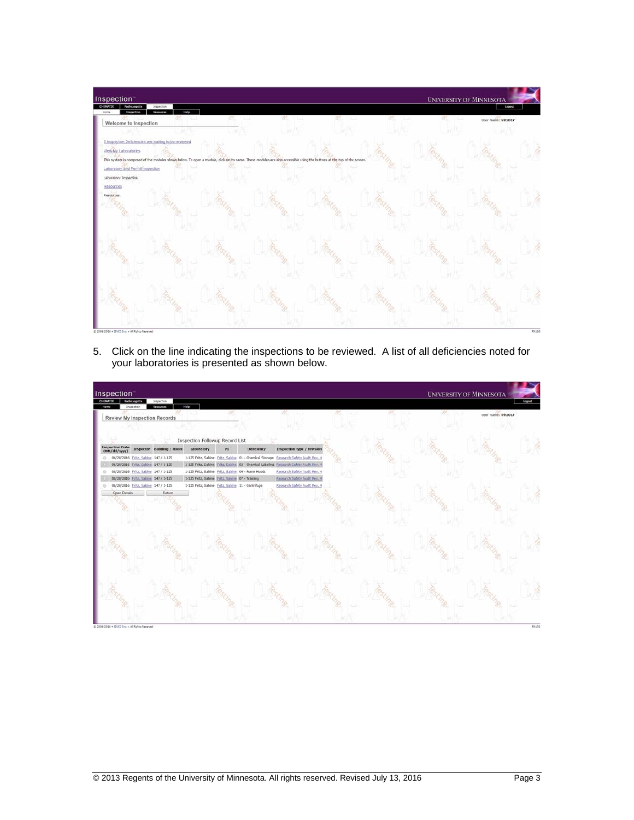

5. Click on the line indicating the inspections to be reviewed. A list of all deficiencies noted for your laboratories is presented as shown below.

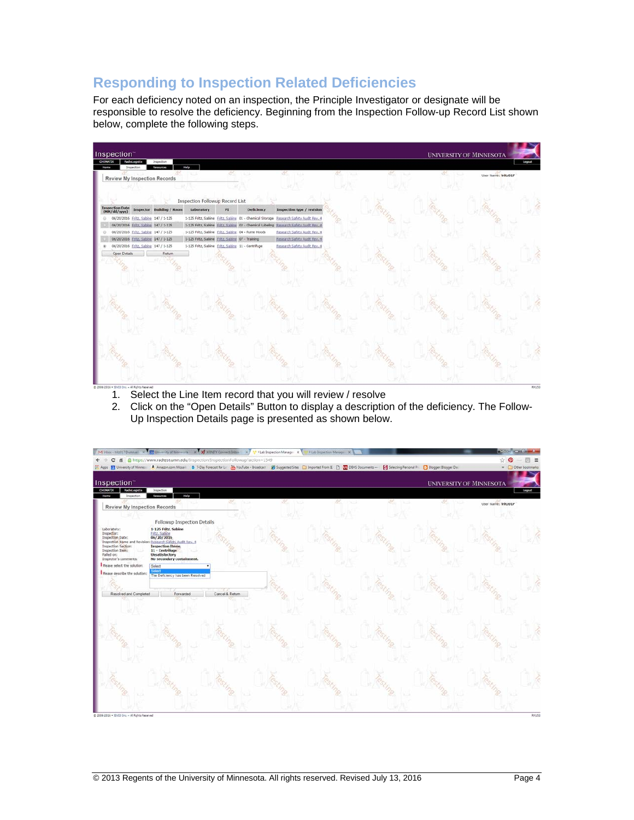## **Responding to Inspection Related Deficiencies**

For each deficiency noted on an inspection, the Principle Investigator or designate will be responsible to resolve the deficiency. Beginning from the Inspection Follow-up Record List shown below, complete the following steps.



- 1. Select the Line Item record that you will review / resolve
- 2. Click on the "Open Details" Button to display a description of the deficiency. The Follow-Up Inspection Details page is presented as shown below.

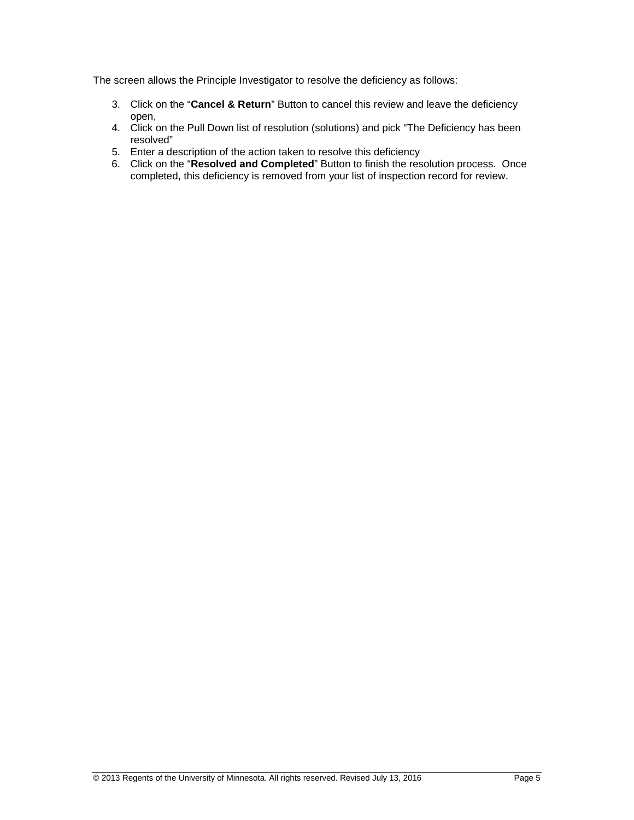The screen allows the Principle Investigator to resolve the deficiency as follows:

- 3. Click on the "**Cancel & Return**" Button to cancel this review and leave the deficiency open,
- 4. Click on the Pull Down list of resolution (solutions) and pick "The Deficiency has been resolved"
- 5. Enter a description of the action taken to resolve this deficiency
- 6. Click on the "**Resolved and Completed**" Button to finish the resolution process. Once completed, this deficiency is removed from your list of inspection record for review.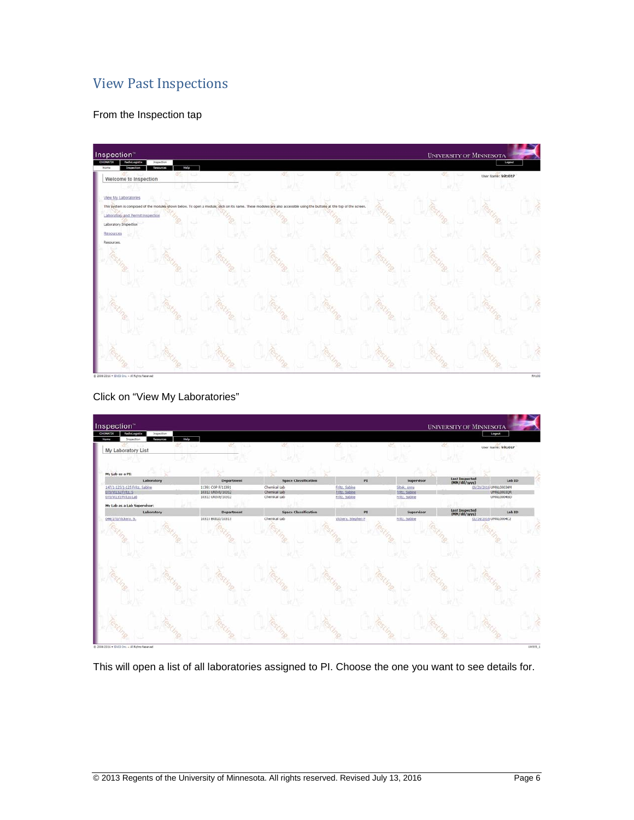## View Past Inspections

From the Inspection tap



Click on "View My Laboratories"



This will open a list of all laboratories assigned to PI. Choose the one you want to see details for.